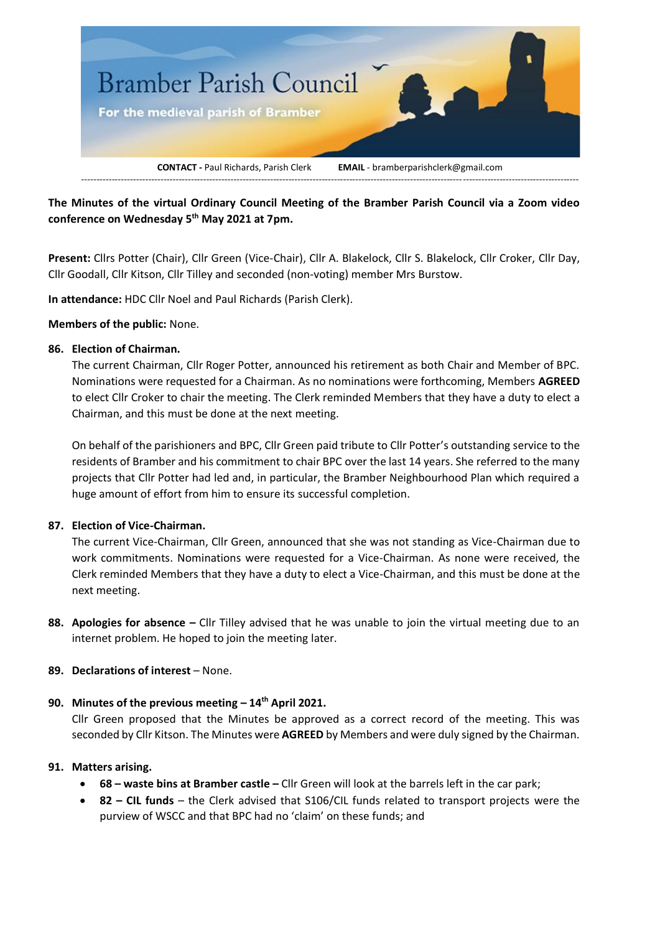

**The Minutes of the virtual Ordinary Council Meeting of the Bramber Parish Council via a Zoom video conference on Wednesday 5 th May 2021 at 7pm.**

**Present:** Cllrs Potter (Chair), Cllr Green (Vice-Chair), Cllr A. Blakelock, Cllr S. Blakelock, Cllr Croker, Cllr Day, Cllr Goodall, Cllr Kitson, Cllr Tilley and seconded (non-voting) member Mrs Burstow.

**In attendance:** HDC Cllr Noel and Paul Richards (Parish Clerk).

#### **Members of the public:** None.

## **86. Election of Chairman.**

The current Chairman, Cllr Roger Potter, announced his retirement as both Chair and Member of BPC. Nominations were requested for a Chairman. As no nominations were forthcoming, Members **AGREED** to elect Cllr Croker to chair the meeting. The Clerk reminded Members that they have a duty to elect a Chairman, and this must be done at the next meeting.

On behalf of the parishioners and BPC, Cllr Green paid tribute to Cllr Potter's outstanding service to the residents of Bramber and his commitment to chair BPC over the last 14 years. She referred to the many projects that Cllr Potter had led and, in particular, the Bramber Neighbourhood Plan which required a huge amount of effort from him to ensure its successful completion.

#### **87. Election of Vice-Chairman.**

The current Vice-Chairman, Cllr Green, announced that she was not standing as Vice-Chairman due to work commitments. Nominations were requested for a Vice-Chairman. As none were received, the Clerk reminded Members that they have a duty to elect a Vice-Chairman, and this must be done at the next meeting.

**88. Apologies for absence –** Cllr Tilley advised that he was unable to join the virtual meeting due to an internet problem. He hoped to join the meeting later.

# **89. Declarations of interest** – None.

# **90. Minutes of the previous meeting – 14th April 2021.**

Cllr Green proposed that the Minutes be approved as a correct record of the meeting. This was seconded by Cllr Kitson. The Minutes were **AGREED** by Members and were duly signed by the Chairman.

#### **91. Matters arising.**

- **68 – waste bins at Bramber castle –** Cllr Green will look at the barrels left in the car park;
- **82 – CIL funds** the Clerk advised that S106/CIL funds related to transport projects were the purview of WSCC and that BPC had no 'claim' on these funds; and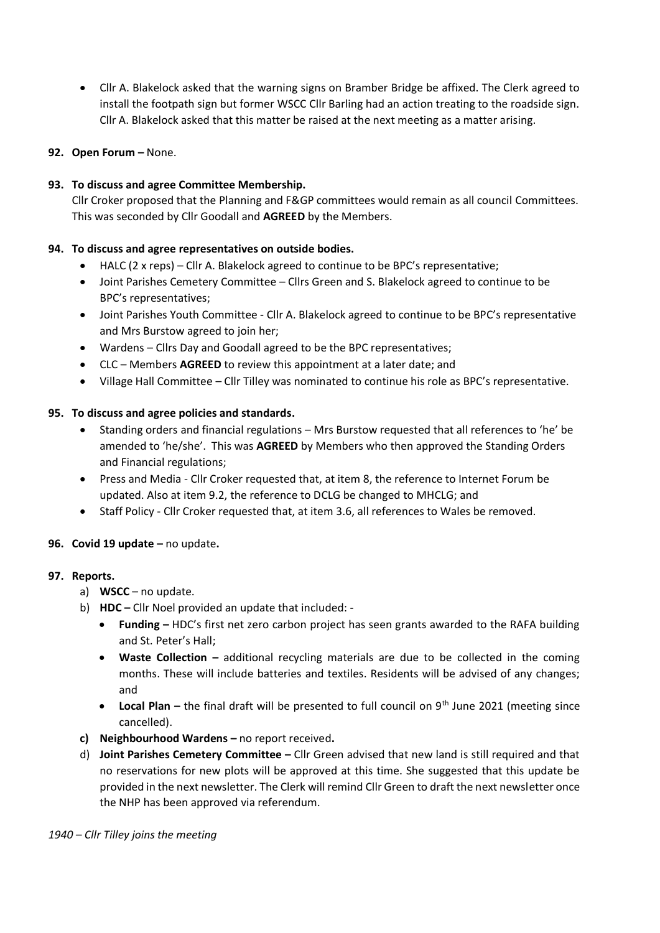- Cllr A. Blakelock asked that the warning signs on Bramber Bridge be affixed. The Clerk agreed to install the footpath sign but former WSCC Cllr Barling had an action treating to the roadside sign. Cllr A. Blakelock asked that this matter be raised at the next meeting as a matter arising.
- **92. Open Forum –** None.

## **93. To discuss and agree Committee Membership.**

Cllr Croker proposed that the Planning and F&GP committees would remain as all council Committees. This was seconded by Cllr Goodall and **AGREED** by the Members.

## **94. To discuss and agree representatives on outside bodies.**

- HALC (2 x reps) Cllr A. Blakelock agreed to continue to be BPC's representative;
- Joint Parishes Cemetery Committee Cllrs Green and S. Blakelock agreed to continue to be BPC's representatives;
- Joint Parishes Youth Committee Cllr A. Blakelock agreed to continue to be BPC's representative and Mrs Burstow agreed to join her;
- Wardens Cllrs Day and Goodall agreed to be the BPC representatives;
- CLC Members **AGREED** to review this appointment at a later date; and
- Village Hall Committee Cllr Tilley was nominated to continue his role as BPC's representative.

## **95. To discuss and agree policies and standards.**

- Standing orders and financial regulations Mrs Burstow requested that all references to 'he' be amended to 'he/she'. This was **AGREED** by Members who then approved the Standing Orders and Financial regulations;
- Press and Media Cllr Croker requested that, at item 8, the reference to Internet Forum be updated. Also at item 9.2, the reference to DCLG be changed to MHCLG; and
- Staff Policy Cllr Croker requested that, at item 3.6, all references to Wales be removed.

#### **96. Covid 19 update –** no update**.**

#### **97. Reports.**

- a) **WSCC** no update.
- b) **HDC –** Cllr Noel provided an update that included:
	- **Funding –** HDC's first net zero carbon project has seen grants awarded to the RAFA building and St. Peter's Hall;
	- **Waste Collection –** additional recycling materials are due to be collected in the coming months. These will include batteries and textiles. Residents will be advised of any changes; and
	- Local Plan the final draft will be presented to full council on 9<sup>th</sup> June 2021 (meeting since cancelled).
- **c) Neighbourhood Wardens –** no report received**.**
- d) **Joint Parishes Cemetery Committee –** Cllr Green advised that new land is still required and that no reservations for new plots will be approved at this time. She suggested that this update be provided in the next newsletter. The Clerk will remind Cllr Green to draft the next newsletter once the NHP has been approved via referendum.

*1940 – Cllr Tilley joins the meeting*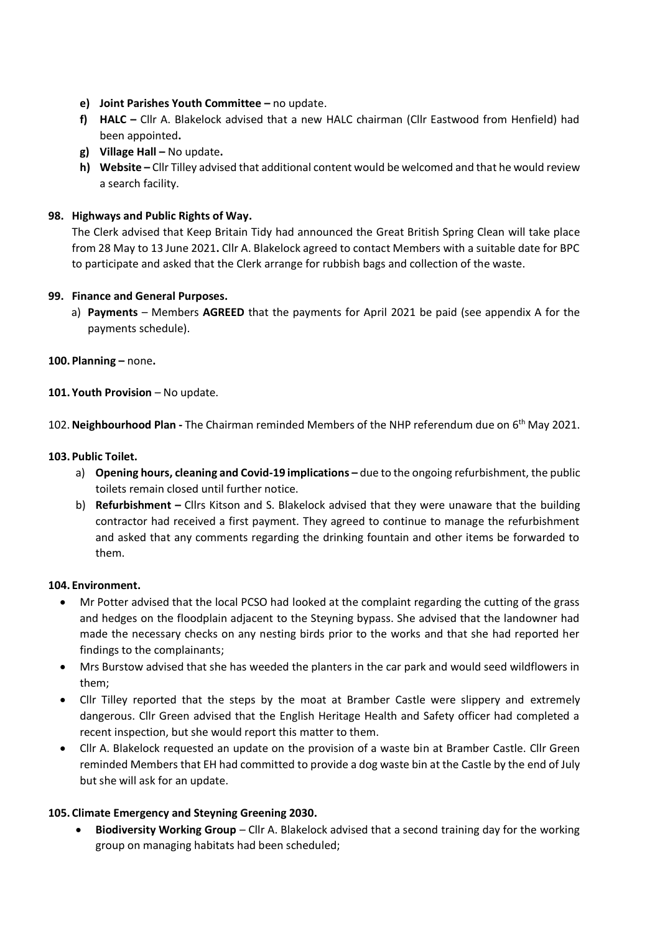- **e) Joint Parishes Youth Committee –** no update.
- **f) HALC –** Cllr A. Blakelock advised that a new HALC chairman (Cllr Eastwood from Henfield) had been appointed**.**
- **g) Village Hall –** No update**.**
- **h) Website –** Cllr Tilley advised that additional content would be welcomed and that he would review a search facility.

# **98. Highways and Public Rights of Way.**

The Clerk advised that Keep Britain Tidy had announced the Great British Spring Clean will take place from 28 May to 13 June 2021**.** Cllr A. Blakelock agreed to contact Members with a suitable date for BPC to participate and asked that the Clerk arrange for rubbish bags and collection of the waste.

## **99. Finance and General Purposes.**

a) **Payments** – Members **AGREED** that the payments for April 2021 be paid (see appendix A for the payments schedule).

## **100.Planning –** none**.**

## **101. Youth Provision** – No update.

102.**Neighbourhood Plan -** The Chairman reminded Members of the NHP referendum due on 6th May 2021.

## **103.Public Toilet.**

- a) Opening hours, cleaning and Covid-19 implications due to the ongoing refurbishment, the public toilets remain closed until further notice.
- b) **Refurbishment –** Cllrs Kitson and S. Blakelock advised that they were unaware that the building contractor had received a first payment. They agreed to continue to manage the refurbishment and asked that any comments regarding the drinking fountain and other items be forwarded to them.

#### **104. Environment.**

- Mr Potter advised that the local PCSO had looked at the complaint regarding the cutting of the grass and hedges on the floodplain adjacent to the Steyning bypass. She advised that the landowner had made the necessary checks on any nesting birds prior to the works and that she had reported her findings to the complainants;
- Mrs Burstow advised that she has weeded the planters in the car park and would seed wildflowers in them;
- Cllr Tilley reported that the steps by the moat at Bramber Castle were slippery and extremely dangerous. Cllr Green advised that the English Heritage Health and Safety officer had completed a recent inspection, but she would report this matter to them.
- Cllr A. Blakelock requested an update on the provision of a waste bin at Bramber Castle. Cllr Green reminded Members that EH had committed to provide a dog waste bin at the Castle by the end of July but she will ask for an update.

# **105. Climate Emergency and Steyning Greening 2030.**

• **Biodiversity Working Group** – Cllr A. Blakelock advised that a second training day for the working group on managing habitats had been scheduled;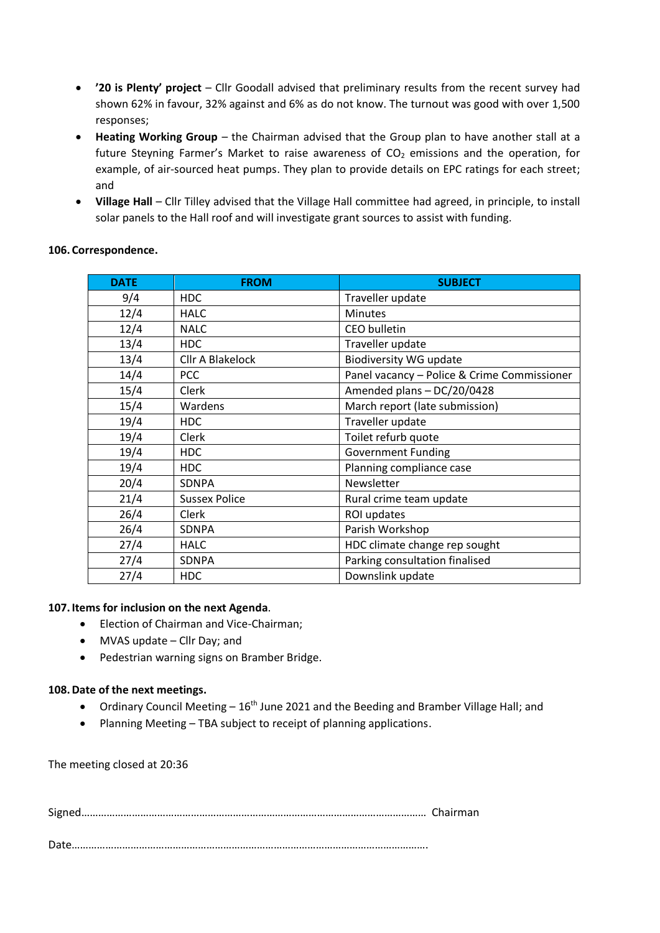- **'20 is Plenty' project** Cllr Goodall advised that preliminary results from the recent survey had shown 62% in favour, 32% against and 6% as do not know. The turnout was good with over 1,500 responses;
- **Heating Working Group** the Chairman advised that the Group plan to have another stall at a future Steyning Farmer's Market to raise awareness of  $CO<sub>2</sub>$  emissions and the operation, for example, of air-sourced heat pumps. They plan to provide details on EPC ratings for each street; and
- **Village Hall**  Cllr Tilley advised that the Village Hall committee had agreed, in principle, to install solar panels to the Hall roof and will investigate grant sources to assist with funding.

| <b>DATE</b> | <b>FROM</b>          | <b>SUBJECT</b>                              |
|-------------|----------------------|---------------------------------------------|
| 9/4         | <b>HDC</b>           | Traveller update                            |
| 12/4        | <b>HALC</b>          | <b>Minutes</b>                              |
| 12/4        | <b>NALC</b>          | <b>CEO</b> bulletin                         |
| 13/4        | <b>HDC</b>           | Traveller update                            |
| 13/4        | Cllr A Blakelock     | <b>Biodiversity WG update</b>               |
| 14/4        | <b>PCC</b>           | Panel vacancy - Police & Crime Commissioner |
| 15/4        | Clerk                | Amended plans - DC/20/0428                  |
| 15/4        | Wardens              | March report (late submission)              |
| 19/4        | <b>HDC</b>           | Traveller update                            |
| 19/4        | Clerk                | Toilet refurb quote                         |
| 19/4        | <b>HDC</b>           | <b>Government Funding</b>                   |
| 19/4        | <b>HDC</b>           | Planning compliance case                    |
| 20/4        | <b>SDNPA</b>         | Newsletter                                  |
| 21/4        | <b>Sussex Police</b> | Rural crime team update                     |
| 26/4        | Clerk                | ROI updates                                 |
| 26/4        | <b>SDNPA</b>         | Parish Workshop                             |
| 27/4        | <b>HALC</b>          | HDC climate change rep sought               |
| 27/4        | SDNPA                | Parking consultation finalised              |
| 27/4        | <b>HDC</b>           | Downslink update                            |

## **106. Correspondence.**

## **107.Items for inclusion on the next Agenda**.

- Election of Chairman and Vice-Chairman;
- MVAS update Cllr Day; and
- Pedestrian warning signs on Bramber Bridge.

#### **108.Date of the next meetings.**

- Ordinary Council Meeting 16<sup>th</sup> June 2021 and the Beeding and Bramber Village Hall; and
- Planning Meeting TBA subject to receipt of planning applications.

The meeting closed at 20:36

Date……………………………………………………………………………………………………………….